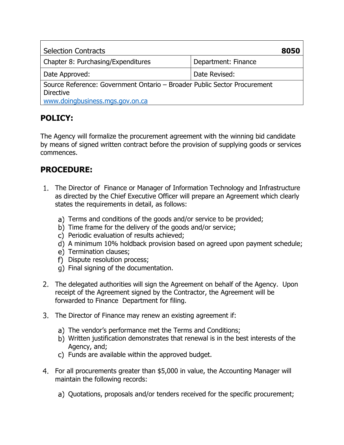| <b>Selection Contracts</b>                                                                                                      |                     | 8050 |
|---------------------------------------------------------------------------------------------------------------------------------|---------------------|------|
| Chapter 8: Purchasing/Expenditures                                                                                              | Department: Finance |      |
| Date Approved:                                                                                                                  | Date Revised:       |      |
| Source Reference: Government Ontario - Broader Public Sector Procurement<br><b>Directive</b><br>www.doingbusiness.mgs.gov.on.ca |                     |      |

## **POLICY:**

The Agency will formalize the procurement agreement with the winning bid candidate by means of signed written contract before the provision of supplying goods or services commences.

## **PROCEDURE:**

- 1. The Director of Finance or Manager of Information Technology and Infrastructure as directed by the Chief Executive Officer will prepare an Agreement which clearly states the requirements in detail, as follows:
	- a) Terms and conditions of the goods and/or service to be provided;
	- b) Time frame for the delivery of the goods and/or service;
	- c) Periodic evaluation of results achieved;
	- d) A minimum 10% holdback provision based on agreed upon payment schedule;
	- e) Termination clauses;
	- f) Dispute resolution process;
	- Final signing of the documentation.
- The delegated authorities will sign the Agreement on behalf of the Agency. Upon receipt of the Agreement signed by the Contractor, the Agreement will be forwarded to Finance Department for filing.
- The Director of Finance may renew an existing agreement if:
	- a) The vendor's performance met the Terms and Conditions;
	- Written justification demonstrates that renewal is in the best interests of the Agency, and;
	- c) Funds are available within the approved budget.
- For all procurements greater than \$5,000 in value, the Accounting Manager will maintain the following records:
	- a) Quotations, proposals and/or tenders received for the specific procurement;